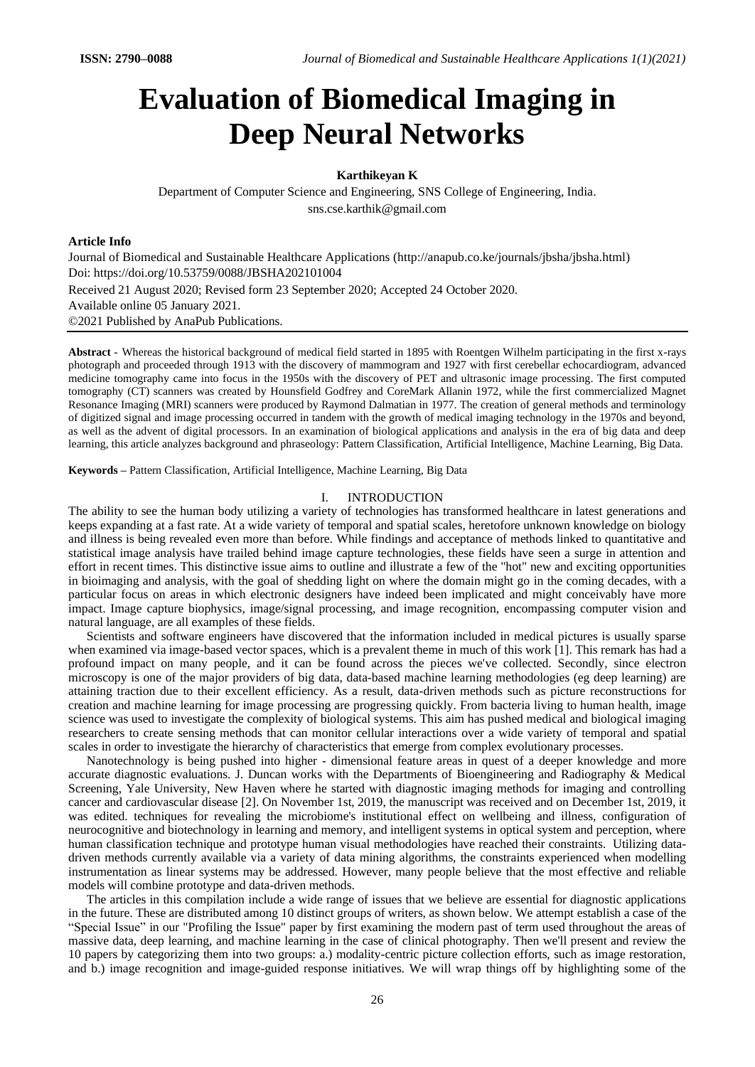# **Evaluation of Biomedical Imaging in Deep Neural Networks**

# **Karthikeyan K**

Department of Computer Science and Engineering, SNS College of Engineering, India. sns.cse.karthik@gmail.com

## **Article Info**

Journal of Biomedical and Sustainable Healthcare Applications (http://anapub.co.ke/journals/jbsha/jbsha.html) Doi: https://doi.org/10.53759/0088/JBSHA202101004 Received 21 August 2020; Revised form 23 September 2020; Accepted 24 October 2020. Available online 05 January 2021. ©2021 Published by AnaPub Publications.

**Abstract** - Whereas the historical background of medical field started in 1895 with Roentgen Wilhelm participating in the first x-rays photograph and proceeded through 1913 with the discovery of mammogram and 1927 with first cerebellar echocardiogram, advanced medicine tomography came into focus in the 1950s with the discovery of PET and ultrasonic image processing. The first computed tomography (CT) scanners was created by Hounsfield Godfrey and CoreMark Allanin 1972, while the first commercialized Magnet Resonance Imaging (MRI) scanners were produced by Raymond Dalmatian in 1977. The creation of general methods and terminology of digitized signal and image processing occurred in tandem with the growth of medical imaging technology in the 1970s and beyond, as well as the advent of digital processors. In an examination of biological applications and analysis in the era of big data and deep learning, this article analyzes background and phraseology: Pattern Classification, Artificial Intelligence, Machine Learning, Big Data.

**Keywords –** Pattern Classification, Artificial Intelligence, Machine Learning, Big Data

#### I. INTRODUCTION

The ability to see the human body utilizing a variety of technologies has transformed healthcare in latest generations and keeps expanding at a fast rate. At a wide variety of temporal and spatial scales, heretofore unknown knowledge on biology and illness is being revealed even more than before. While findings and acceptance of methods linked to quantitative and statistical image analysis have trailed behind image capture technologies, these fields have seen a surge in attention and effort in recent times. This distinctive issue aims to outline and illustrate a few of the "hot" new and exciting opportunities in bioimaging and analysis, with the goal of shedding light on where the domain might go in the coming decades, with a particular focus on areas in which electronic designers have indeed been implicated and might conceivably have more impact. Image capture biophysics, image/signal processing, and image recognition, encompassing computer vision and natural language, are all examples of these fields.

Scientists and software engineers have discovered that the information included in medical pictures is usually sparse when examined via image-based vector spaces, which is a prevalent theme in much of this work [1]. This remark has had a profound impact on many people, and it can be found across the pieces we've collected. Secondly, since electron microscopy is one of the major providers of big data, data-based machine learning methodologies (eg deep learning) are attaining traction due to their excellent efficiency. As a result, data-driven methods such as picture reconstructions for creation and machine learning for image processing are progressing quickly. From bacteria living to human health, image science was used to investigate the complexity of biological systems. This aim has pushed medical and biological imaging researchers to create sensing methods that can monitor cellular interactions over a wide variety of temporal and spatial scales in order to investigate the hierarchy of characteristics that emerge from complex evolutionary processes.

Nanotechnology is being pushed into higher - dimensional feature areas in quest of a deeper knowledge and more accurate diagnostic evaluations. J. Duncan works with the Departments of Bioengineering and Radiography & Medical Screening, Yale University, New Haven where he started with diagnostic imaging methods for imaging and controlling cancer and cardiovascular disease [2]. On November 1st, 2019, the manuscript was received and on December 1st, 2019, it was edited. techniques for revealing the microbiome's institutional effect on wellbeing and illness, configuration of neurocognitive and biotechnology in learning and memory, and intelligent systems in optical system and perception, where human classification technique and prototype human visual methodologies have reached their constraints. Utilizing datadriven methods currently available via a variety of data mining algorithms, the constraints experienced when modelling instrumentation as linear systems may be addressed. However, many people believe that the most effective and reliable models will combine prototype and data-driven methods.

The articles in this compilation include a wide range of issues that we believe are essential for diagnostic applications in the future. These are distributed among 10 distinct groups of writers, as shown below. We attempt establish a case of the "Special Issue" in our "Profiling the Issue" paper by first examining the modern past of term used throughout the areas of massive data, deep learning, and machine learning in the case of clinical photography. Then we'll present and review the 10 papers by categorizing them into two groups: a.) modality-centric picture collection efforts, such as image restoration, and b.) image recognition and image-guided response initiatives. We will wrap things off by highlighting some of the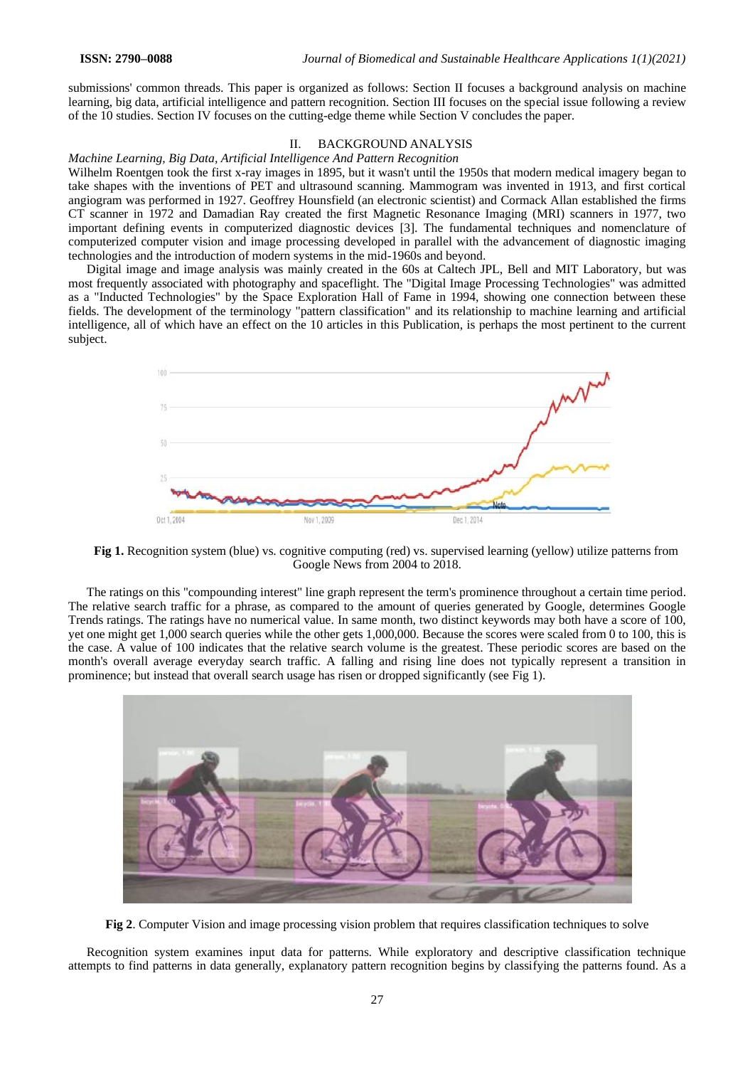submissions' common threads. This paper is organized as follows: Section II focuses a background analysis on machine learning, big data, artificial intelligence and pattern recognition. Section III focuses on the special issue following a review of the 10 studies. Section IV focuses on the cutting-edge theme while Section V concludes the paper.

# II. BACKGROUND ANALYSIS

## *Machine Learning, Big Data, Artificial Intelligence And Pattern Recognition*

Wilhelm Roentgen took the first x-ray images in 1895, but it wasn't until the 1950s that modern medical imagery began to take shapes with the inventions of PET and ultrasound scanning. Mammogram was invented in 1913, and first cortical angiogram was performed in 1927. Geoffrey Hounsfield (an electronic scientist) and Cormack Allan established the firms CT scanner in 1972 and Damadian Ray created the first Magnetic Resonance Imaging (MRI) scanners in 1977, two important defining events in computerized diagnostic devices [3]. The fundamental techniques and nomenclature of computerized computer vision and image processing developed in parallel with the advancement of diagnostic imaging technologies and the introduction of modern systems in the mid-1960s and beyond.

Digital image and image analysis was mainly created in the 60s at Caltech JPL, Bell and MIT Laboratory, but was most frequently associated with photography and spaceflight. The "Digital Image Processing Technologies" was admitted as a "Inducted Technologies" by the Space Exploration Hall of Fame in 1994, showing one connection between these fields. The development of the terminology "pattern classification" and its relationship to machine learning and artificial intelligence, all of which have an effect on the 10 articles in this Publication, is perhaps the most pertinent to the current subject.



**Fig 1.** Recognition system (blue) vs. cognitive computing (red) vs. supervised learning (yellow) utilize patterns from Google News from 2004 to 2018.

The ratings on this "compounding interest" line graph represent the term's prominence throughout a certain time period. The relative search traffic for a phrase, as compared to the amount of queries generated by Google, determines Google Trends ratings. The ratings have no numerical value. In same month, two distinct keywords may both have a score of 100, yet one might get 1,000 search queries while the other gets 1,000,000. Because the scores were scaled from 0 to 100, this is the case. A value of 100 indicates that the relative search volume is the greatest. These periodic scores are based on the month's overall average everyday search traffic. A falling and rising line does not typically represent a transition in prominence; but instead that overall search usage has risen or dropped significantly (see Fig 1).



**Fig 2**. Computer Vision and image processing vision problem that requires classification techniques to solve

Recognition system examines input data for patterns. While exploratory and descriptive classification technique attempts to find patterns in data generally, explanatory pattern recognition begins by classifying the patterns found. As a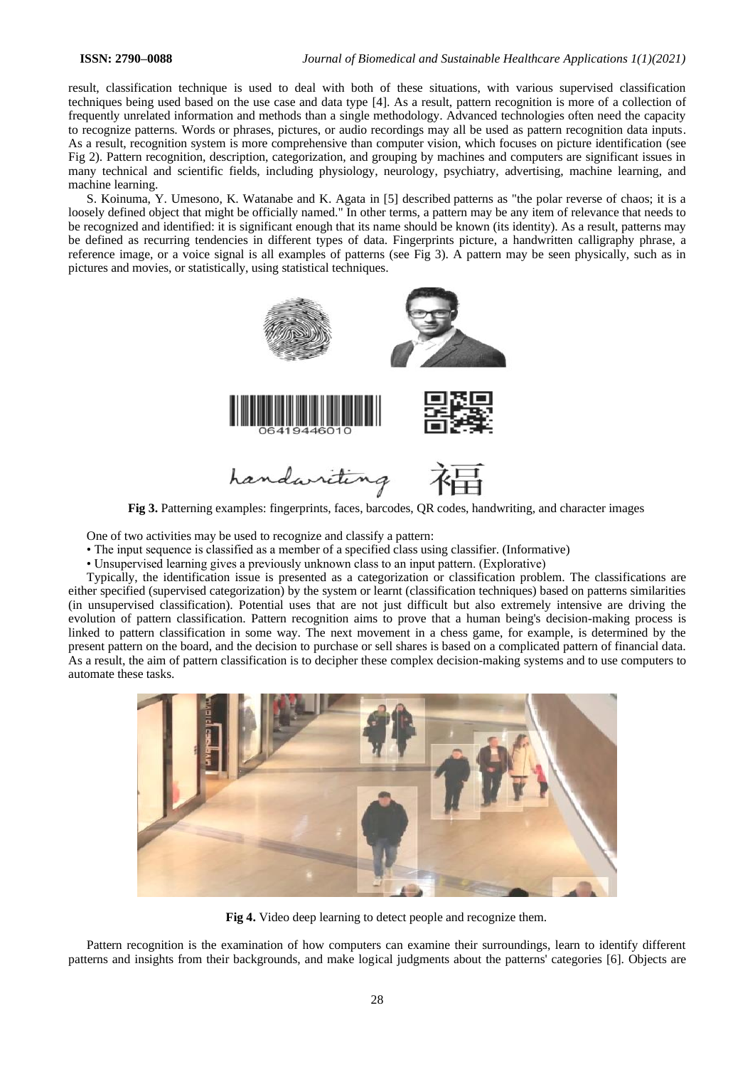result, classification technique is used to deal with both of these situations, with various supervised classification techniques being used based on the use case and data type [4]. As a result, pattern recognition is more of a collection of frequently unrelated information and methods than a single methodology. Advanced technologies often need the capacity to recognize patterns. Words or phrases, pictures, or audio recordings may all be used as pattern recognition data inputs. As a result, recognition system is more comprehensive than computer vision, which focuses on picture identification (see Fig 2). Pattern recognition, description, categorization, and grouping by machines and computers are significant issues in many technical and scientific fields, including physiology, neurology, psychiatry, advertising, machine learning, and machine learning.

S. Koinuma, Y. Umesono, K. Watanabe and K. Agata in [5] described patterns as "the polar reverse of chaos; it is a loosely defined object that might be officially named." In other terms, a pattern may be any item of relevance that needs to be recognized and identified: it is significant enough that its name should be known (its identity). As a result, patterns may be defined as recurring tendencies in different types of data. Fingerprints picture, a handwritten calligraphy phrase, a reference image, or a voice signal is all examples of patterns (see Fig 3). A pattern may be seen physically, such as in pictures and movies, or statistically, using statistical techniques.



**Fig 3.** Patterning examples: fingerprints, faces, barcodes, QR codes, handwriting, and character images

One of two activities may be used to recognize and classify a pattern:

- The input sequence is classified as a member of a specified class using classifier. (Informative)
- Unsupervised learning gives a previously unknown class to an input pattern. (Explorative)

Typically, the identification issue is presented as a categorization or classification problem. The classifications are either specified (supervised categorization) by the system or learnt (classification techniques) based on patterns similarities (in unsupervised classification). Potential uses that are not just difficult but also extremely intensive are driving the evolution of pattern classification. Pattern recognition aims to prove that a human being's decision-making process is linked to pattern classification in some way. The next movement in a chess game, for example, is determined by the present pattern on the board, and the decision to purchase or sell shares is based on a complicated pattern of financial data. As a result, the aim of pattern classification is to decipher these complex decision-making systems and to use computers to automate these tasks.



**Fig 4.** Video deep learning to detect people and recognize them.

Pattern recognition is the examination of how computers can examine their surroundings, learn to identify different patterns and insights from their backgrounds, and make logical judgments about the patterns' categories [6]. Objects are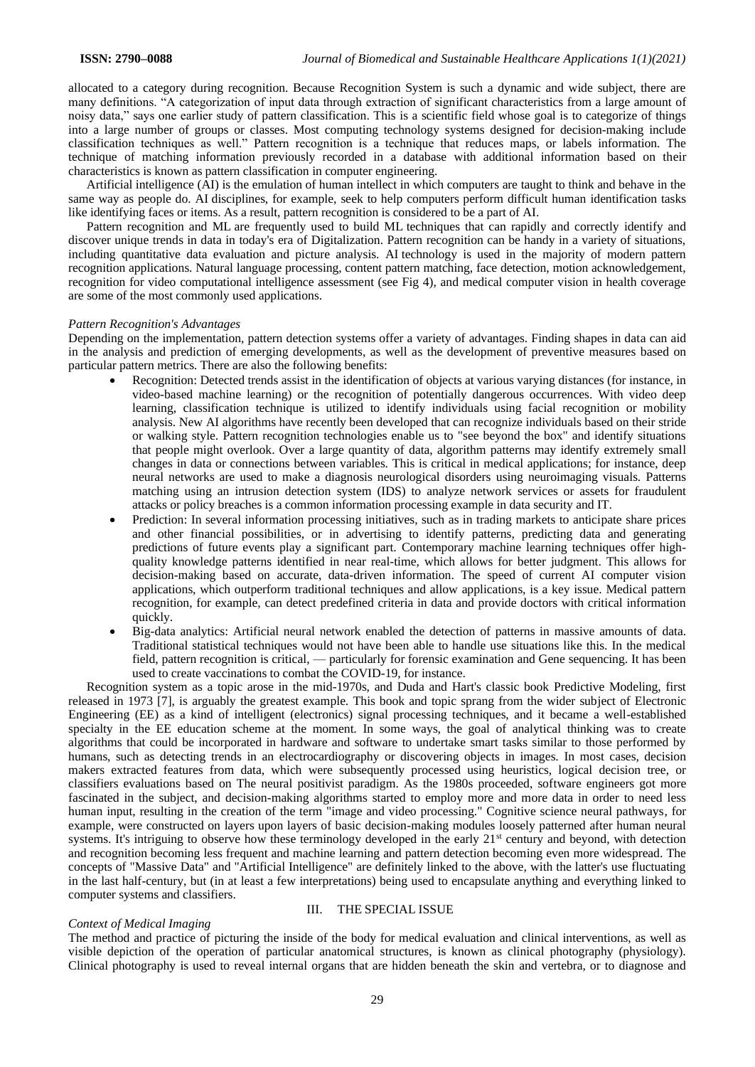allocated to a category during recognition. Because Recognition System is such a dynamic and wide subject, there are many definitions. "A categorization of input data through extraction of significant characteristics from a large amount of noisy data," says one earlier study of pattern classification. This is a scientific field whose goal is to categorize of things into a large number of groups or classes. Most computing technology systems designed for decision-making include classification techniques as well." Pattern recognition is a technique that reduces maps, or labels information. The technique of matching information previously recorded in a database with additional information based on their characteristics is known as pattern classification in computer engineering.

Artificial intelligence (AI) is the emulation of human intellect in which computers are taught to think and behave in the same way as people do. AI disciplines, for example, seek to help computers perform difficult human identification tasks like identifying faces or items. As a result, pattern recognition is considered to be a part of AI.

Pattern recognition and ML are frequently used to build ML techniques that can rapidly and correctly identify and discover unique trends in data in today's era of Digitalization. Pattern recognition can be handy in a variety of situations, including quantitative data evaluation and picture analysis. AI technology is used in the majority of modern pattern recognition applications. Natural language processing, content pattern matching, face detection, motion acknowledgement, recognition for video computational intelligence assessment (see Fig 4), and medical computer vision in health coverage are some of the most commonly used applications.

#### *Pattern Recognition's Advantages*

Depending on the implementation, pattern detection systems offer a variety of advantages. Finding shapes in data can aid in the analysis and prediction of emerging developments, as well as the development of preventive measures based on particular pattern metrics. There are also the following benefits:

- Recognition: Detected trends assist in the identification of objects at various varying distances (for instance, in video-based machine learning) or the recognition of potentially dangerous occurrences. With video deep learning, classification technique is utilized to identify individuals using facial recognition or mobility analysis. New AI algorithms have recently been developed that can recognize individuals based on their stride or walking style. Pattern recognition technologies enable us to "see beyond the box" and identify situations that people might overlook. Over a large quantity of data, algorithm patterns may identify extremely small changes in data or connections between variables. This is critical in medical applications; for instance, deep neural networks are used to make a diagnosis neurological disorders using neuroimaging visuals. Patterns matching using an intrusion detection system (IDS) to analyze network services or assets for fraudulent attacks or policy breaches is a common information processing example in data security and IT.
- Prediction: In several information processing initiatives, such as in trading markets to anticipate share prices and other financial possibilities, or in advertising to identify patterns, predicting data and generating predictions of future events play a significant part. Contemporary machine learning techniques offer highquality knowledge patterns identified in near real-time, which allows for better judgment. This allows for decision-making based on accurate, data-driven information. The speed of current AI computer vision applications, which outperform traditional techniques and allow applications, is a key issue. Medical pattern recognition, for example, can detect predefined criteria in data and provide doctors with critical information quickly.
- Big-data analytics: Artificial neural network enabled the detection of patterns in massive amounts of data. Traditional statistical techniques would not have been able to handle use situations like this. In the medical field, pattern recognition is critical, — particularly for forensic examination and Gene sequencing. It has been used to create vaccinations to combat the COVID-19, for instance.

Recognition system as a topic arose in the mid-1970s, and Duda and Hart's classic book Predictive Modeling, first released in 1973 [7], is arguably the greatest example. This book and topic sprang from the wider subject of Electronic Engineering (EE) as a kind of intelligent (electronics) signal processing techniques, and it became a well-established specialty in the EE education scheme at the moment. In some ways, the goal of analytical thinking was to create algorithms that could be incorporated in hardware and software to undertake smart tasks similar to those performed by humans, such as detecting trends in an electrocardiography or discovering objects in images. In most cases, decision makers extracted features from data, which were subsequently processed using heuristics, logical decision tree, or classifiers evaluations based on The neural positivist paradigm. As the 1980s proceeded, software engineers got more fascinated in the subject, and decision-making algorithms started to employ more and more data in order to need less human input, resulting in the creation of the term "image and video processing." Cognitive science neural pathways, for example, were constructed on layers upon layers of basic decision-making modules loosely patterned after human neural systems. It's intriguing to observe how these terminology developed in the early 21<sup>st</sup> century and beyond, with detection and recognition becoming less frequent and machine learning and pattern detection becoming even more widespread. The concepts of "Massive Data" and "Artificial Intelligence" are definitely linked to the above, with the latter's use fluctuating in the last half-century, but (in at least a few interpretations) being used to encapsulate anything and everything linked to computer systems and classifiers.

## III. THE SPECIAL ISSUE

#### *Context of Medical Imaging*

The method and practice of picturing the inside of the body for medical evaluation and clinical interventions, as well as visible depiction of the operation of particular anatomical structures, is known as clinical photography (physiology). Clinical photography is used to reveal internal organs that are hidden beneath the skin and vertebra, or to diagnose and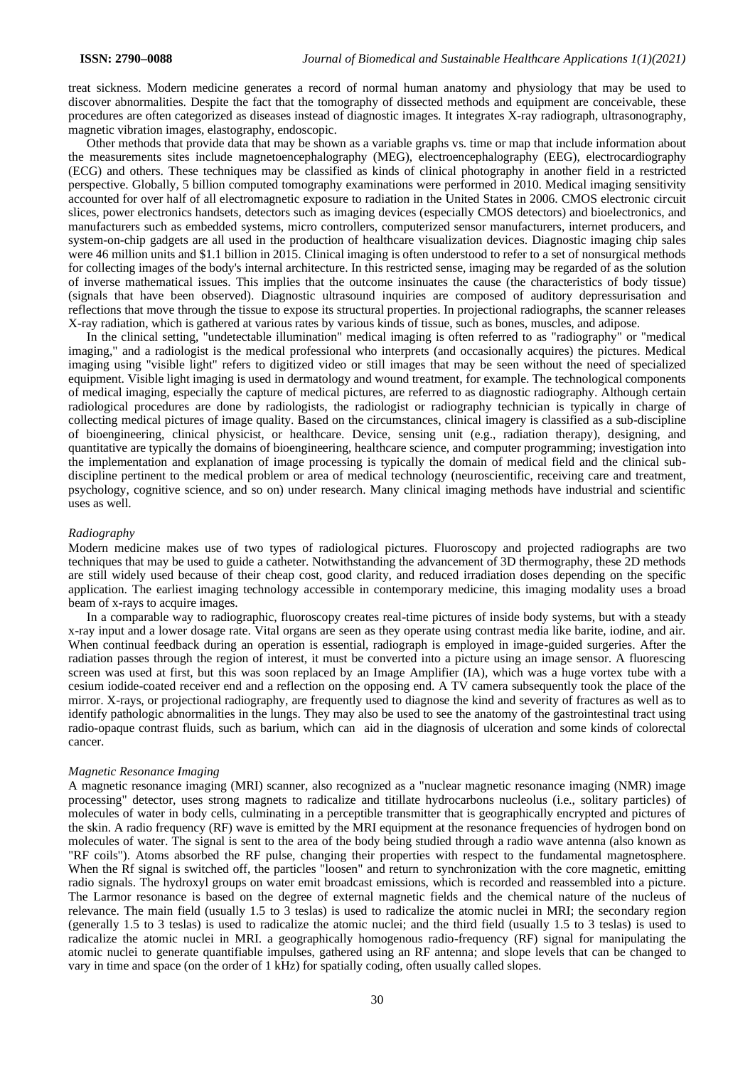treat sickness. Modern medicine generates a record of normal human anatomy and physiology that may be used to discover abnormalities. Despite the fact that the tomography of dissected methods and equipment are conceivable, these procedures are often categorized as diseases instead of diagnostic images. It integrates X-ray radiograph, ultrasonography, magnetic vibration images, elastography, endoscopic.

Other methods that provide data that may be shown as a variable graphs vs. time or map that include information about the measurements sites include magnetoencephalography (MEG), electroencephalography (EEG), electrocardiography (ECG) and others. These techniques may be classified as kinds of clinical photography in another field in a restricted perspective. Globally, 5 billion computed tomography examinations were performed in 2010. Medical imaging sensitivity accounted for over half of all electromagnetic exposure to radiation in the United States in 2006. CMOS electronic circuit slices, power electronics handsets, detectors such as imaging devices (especially CMOS detectors) and bioelectronics, and manufacturers such as embedded systems, micro controllers, computerized sensor manufacturers, internet producers, and system-on-chip gadgets are all used in the production of healthcare visualization devices. Diagnostic imaging chip sales were 46 million units and \$1.1 billion in 2015. Clinical imaging is often understood to refer to a set of nonsurgical methods for collecting images of the body's internal architecture. In this restricted sense, imaging may be regarded of as the solution of inverse mathematical issues. This implies that the outcome insinuates the cause (the characteristics of body tissue) (signals that have been observed). Diagnostic ultrasound inquiries are composed of auditory depressurisation and reflections that move through the tissue to expose its structural properties. In projectional radiographs, the scanner releases X-ray radiation, which is gathered at various rates by various kinds of tissue, such as bones, muscles, and adipose.

In the clinical setting, "undetectable illumination" medical imaging is often referred to as "radiography" or "medical imaging," and a radiologist is the medical professional who interprets (and occasionally acquires) the pictures. Medical imaging using "visible light" refers to digitized video or still images that may be seen without the need of specialized equipment. Visible light imaging is used in dermatology and wound treatment, for example. The technological components of medical imaging, especially the capture of medical pictures, are referred to as diagnostic radiography. Although certain radiological procedures are done by radiologists, the radiologist or radiography technician is typically in charge of collecting medical pictures of image quality. Based on the circumstances, clinical imagery is classified as a sub-discipline of bioengineering, clinical physicist, or healthcare. Device, sensing unit (e.g., radiation therapy), designing, and quantitative are typically the domains of bioengineering, healthcare science, and computer programming; investigation into the implementation and explanation of image processing is typically the domain of medical field and the clinical subdiscipline pertinent to the medical problem or area of medical technology (neuroscientific, receiving care and treatment, psychology, cognitive science, and so on) under research. Many clinical imaging methods have industrial and scientific uses as well.

#### *Radiography*

Modern medicine makes use of two types of radiological pictures. Fluoroscopy and projected radiographs are two techniques that may be used to guide a catheter. Notwithstanding the advancement of 3D thermography, these 2D methods are still widely used because of their cheap cost, good clarity, and reduced irradiation doses depending on the specific application. The earliest imaging technology accessible in contemporary medicine, this imaging modality uses a broad beam of x-rays to acquire images.

In a comparable way to radiographic, fluoroscopy creates real-time pictures of inside body systems, but with a steady x-ray input and a lower dosage rate. Vital organs are seen as they operate using contrast media like barite, iodine, and air. When continual feedback during an operation is essential, radiograph is employed in image-guided surgeries. After the radiation passes through the region of interest, it must be converted into a picture using an image sensor. A fluorescing screen was used at first, but this was soon replaced by an Image Amplifier (IA), which was a huge vortex tube with a cesium iodide-coated receiver end and a reflection on the opposing end. A TV camera subsequently took the place of the mirror. X-rays, or projectional radiography, are frequently used to diagnose the kind and severity of fractures as well as to identify pathologic abnormalities in the lungs. They may also be used to see the anatomy of the gastrointestinal tract using radio-opaque contrast fluids, such as barium, which can aid in the diagnosis of ulceration and some kinds of colorectal cancer.

## *Magnetic Resonance Imaging*

A magnetic resonance imaging (MRI) scanner, also recognized as a "nuclear magnetic resonance imaging (NMR) image processing" detector, uses strong magnets to radicalize and titillate hydrocarbons nucleolus (i.e., solitary particles) of molecules of water in body cells, culminating in a perceptible transmitter that is geographically encrypted and pictures of the skin. A radio frequency (RF) wave is emitted by the MRI equipment at the resonance frequencies of hydrogen bond on molecules of water. The signal is sent to the area of the body being studied through a radio wave antenna (also known as "RF coils"). Atoms absorbed the RF pulse, changing their properties with respect to the fundamental magnetosphere. When the Rf signal is switched off, the particles "loosen" and return to synchronization with the core magnetic, emitting radio signals. The hydroxyl groups on water emit broadcast emissions, which is recorded and reassembled into a picture. The Larmor resonance is based on the degree of external magnetic fields and the chemical nature of the nucleus of relevance. The main field (usually 1.5 to 3 teslas) is used to radicalize the atomic nuclei in MRI; the secondary region (generally 1.5 to 3 teslas) is used to radicalize the atomic nuclei; and the third field (usually 1.5 to 3 teslas) is used to radicalize the atomic nuclei in MRI. a geographically homogenous radio-frequency (RF) signal for manipulating the atomic nuclei to generate quantifiable impulses, gathered using an RF antenna; and slope levels that can be changed to vary in time and space (on the order of 1 kHz) for spatially coding, often usually called slopes.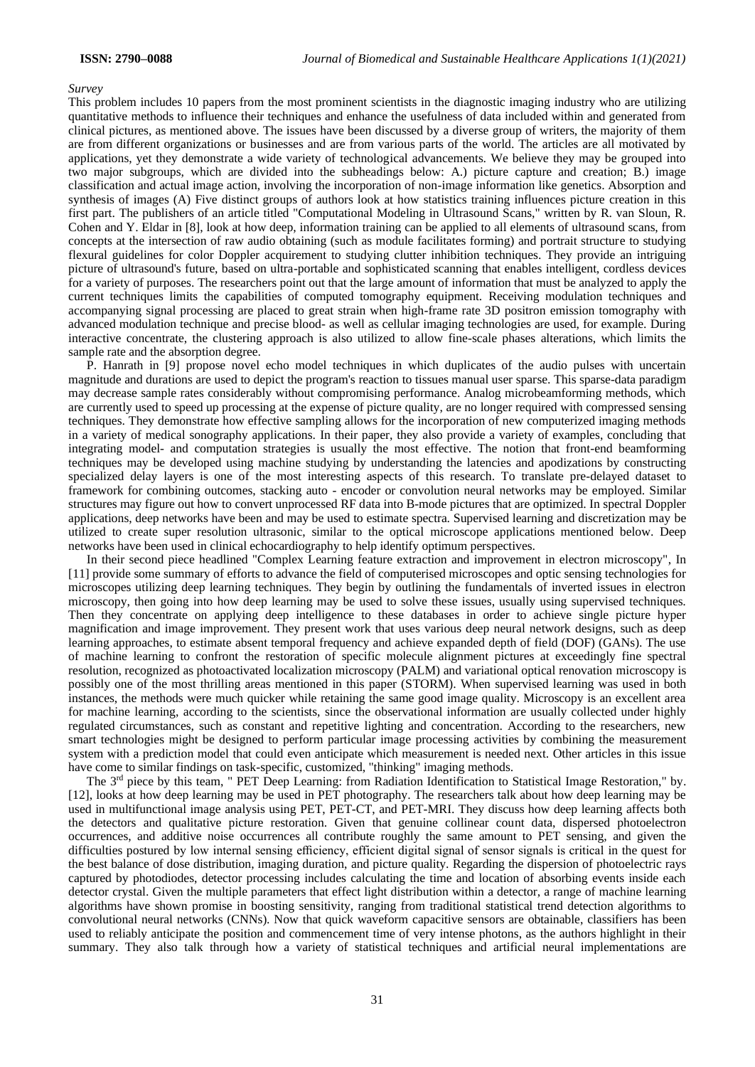#### *Survey*

This problem includes 10 papers from the most prominent scientists in the diagnostic imaging industry who are utilizing quantitative methods to influence their techniques and enhance the usefulness of data included within and generated from clinical pictures, as mentioned above. The issues have been discussed by a diverse group of writers, the majority of them are from different organizations or businesses and are from various parts of the world. The articles are all motivated by applications, yet they demonstrate a wide variety of technological advancements. We believe they may be grouped into two major subgroups, which are divided into the subheadings below: A.) picture capture and creation; B.) image classification and actual image action, involving the incorporation of non-image information like genetics. Absorption and synthesis of images (A) Five distinct groups of authors look at how statistics training influences picture creation in this first part. The publishers of an article titled "Computational Modeling in Ultrasound Scans," written by R. van Sloun, R. Cohen and Y. Eldar in [8], look at how deep, information training can be applied to all elements of ultrasound scans, from concepts at the intersection of raw audio obtaining (such as module facilitates forming) and portrait structure to studying flexural guidelines for color Doppler acquirement to studying clutter inhibition techniques. They provide an intriguing picture of ultrasound's future, based on ultra-portable and sophisticated scanning that enables intelligent, cordless devices for a variety of purposes. The researchers point out that the large amount of information that must be analyzed to apply the current techniques limits the capabilities of computed tomography equipment. Receiving modulation techniques and accompanying signal processing are placed to great strain when high-frame rate 3D positron emission tomography with advanced modulation technique and precise blood- as well as cellular imaging technologies are used, for example. During interactive concentrate, the clustering approach is also utilized to allow fine-scale phases alterations, which limits the sample rate and the absorption degree.

P. Hanrath in [9] propose novel echo model techniques in which duplicates of the audio pulses with uncertain magnitude and durations are used to depict the program's reaction to tissues manual user sparse. This sparse-data paradigm may decrease sample rates considerably without compromising performance. Analog microbeamforming methods, which are currently used to speed up processing at the expense of picture quality, are no longer required with compressed sensing techniques. They demonstrate how effective sampling allows for the incorporation of new computerized imaging methods in a variety of medical sonography applications. In their paper, they also provide a variety of examples, concluding that integrating model- and computation strategies is usually the most effective. The notion that front-end beamforming techniques may be developed using machine studying by understanding the latencies and apodizations by constructing specialized delay layers is one of the most interesting aspects of this research. To translate pre-delayed dataset to framework for combining outcomes, stacking auto - encoder or convolution neural networks may be employed. Similar structures may figure out how to convert unprocessed RF data into B-mode pictures that are optimized. In spectral Doppler applications, deep networks have been and may be used to estimate spectra. Supervised learning and discretization may be utilized to create super resolution ultrasonic, similar to the optical microscope applications mentioned below. Deep networks have been used in clinical echocardiography to help identify optimum perspectives.

In their second piece headlined "Complex Learning feature extraction and improvement in electron microscopy", In [11] provide some summary of efforts to advance the field of computerised microscopes and optic sensing technologies for microscopes utilizing deep learning techniques. They begin by outlining the fundamentals of inverted issues in electron microscopy, then going into how deep learning may be used to solve these issues, usually using supervised techniques. Then they concentrate on applying deep intelligence to these databases in order to achieve single picture hyper magnification and image improvement. They present work that uses various deep neural network designs, such as deep learning approaches, to estimate absent temporal frequency and achieve expanded depth of field (DOF) (GANs). The use of machine learning to confront the restoration of specific molecule alignment pictures at exceedingly fine spectral resolution, recognized as photoactivated localization microscopy (PALM) and variational optical renovation microscopy is possibly one of the most thrilling areas mentioned in this paper (STORM). When supervised learning was used in both instances, the methods were much quicker while retaining the same good image quality. Microscopy is an excellent area for machine learning, according to the scientists, since the observational information are usually collected under highly regulated circumstances, such as constant and repetitive lighting and concentration. According to the researchers, new smart technologies might be designed to perform particular image processing activities by combining the measurement system with a prediction model that could even anticipate which measurement is needed next. Other articles in this issue have come to similar findings on task-specific, customized, "thinking" imaging methods.

The 3<sup>rd</sup> piece by this team, " PET Deep Learning: from Radiation Identification to Statistical Image Restoration," by. [12], looks at how deep learning may be used in PET photography. The researchers talk about how deep learning may be used in multifunctional image analysis using PET, PET-CT, and PET-MRI. They discuss how deep learning affects both the detectors and qualitative picture restoration. Given that genuine collinear count data, dispersed photoelectron occurrences, and additive noise occurrences all contribute roughly the same amount to PET sensing, and given the difficulties postured by low internal sensing efficiency, efficient digital signal of sensor signals is critical in the quest for the best balance of dose distribution, imaging duration, and picture quality. Regarding the dispersion of photoelectric rays captured by photodiodes, detector processing includes calculating the time and location of absorbing events inside each detector crystal. Given the multiple parameters that effect light distribution within a detector, a range of machine learning algorithms have shown promise in boosting sensitivity, ranging from traditional statistical trend detection algorithms to convolutional neural networks (CNNs). Now that quick waveform capacitive sensors are obtainable, classifiers has been used to reliably anticipate the position and commencement time of very intense photons, as the authors highlight in their summary. They also talk through how a variety of statistical techniques and artificial neural implementations are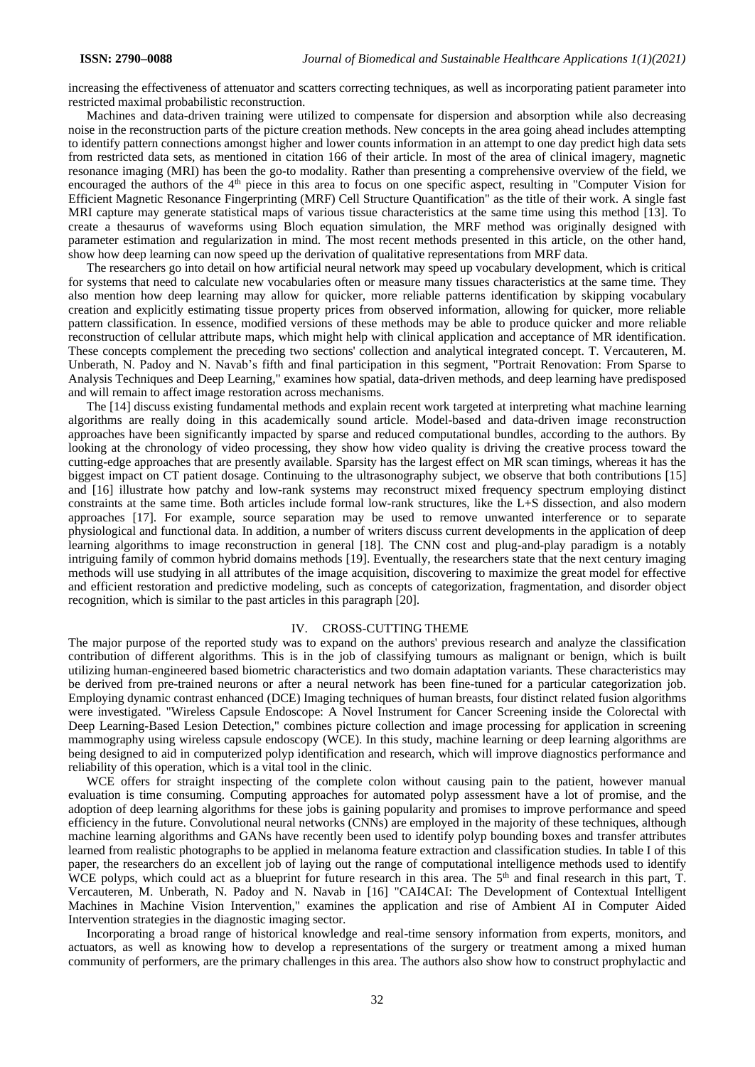increasing the effectiveness of attenuator and scatters correcting techniques, as well as incorporating patient parameter into restricted maximal probabilistic reconstruction.

Machines and data-driven training were utilized to compensate for dispersion and absorption while also decreasing noise in the reconstruction parts of the picture creation methods. New concepts in the area going ahead includes attempting to identify pattern connections amongst higher and lower counts information in an attempt to one day predict high data sets from restricted data sets, as mentioned in citation 166 of their article. In most of the area of clinical imagery, magnetic resonance imaging (MRI) has been the go-to modality. Rather than presenting a comprehensive overview of the field, we encouraged the authors of the 4<sup>th</sup> piece in this area to focus on one specific aspect, resulting in "Computer Vision for Efficient Magnetic Resonance Fingerprinting (MRF) Cell Structure Quantification" as the title of their work. A single fast MRI capture may generate statistical maps of various tissue characteristics at the same time using this method [13]. To create a thesaurus of waveforms using Bloch equation simulation, the MRF method was originally designed with parameter estimation and regularization in mind. The most recent methods presented in this article, on the other hand, show how deep learning can now speed up the derivation of qualitative representations from MRF data.

The researchers go into detail on how artificial neural network may speed up vocabulary development, which is critical for systems that need to calculate new vocabularies often or measure many tissues characteristics at the same time. They also mention how deep learning may allow for quicker, more reliable patterns identification by skipping vocabulary creation and explicitly estimating tissue property prices from observed information, allowing for quicker, more reliable pattern classification. In essence, modified versions of these methods may be able to produce quicker and more reliable reconstruction of cellular attribute maps, which might help with clinical application and acceptance of MR identification. These concepts complement the preceding two sections' collection and analytical integrated concept. T. Vercauteren, M. Unberath, N. Padoy and N. Navab's fifth and final participation in this segment, "Portrait Renovation: From Sparse to Analysis Techniques and Deep Learning," examines how spatial, data-driven methods, and deep learning have predisposed and will remain to affect image restoration across mechanisms.

The [14] discuss existing fundamental methods and explain recent work targeted at interpreting what machine learning algorithms are really doing in this academically sound article. Model-based and data-driven image reconstruction approaches have been significantly impacted by sparse and reduced computational bundles, according to the authors. By looking at the chronology of video processing, they show how video quality is driving the creative process toward the cutting-edge approaches that are presently available. Sparsity has the largest effect on MR scan timings, whereas it has the biggest impact on CT patient dosage. Continuing to the ultrasonography subject, we observe that both contributions [15] and [16] illustrate how patchy and low-rank systems may reconstruct mixed frequency spectrum employing distinct constraints at the same time. Both articles include formal low-rank structures, like the L+S dissection, and also modern approaches [17]. For example, source separation may be used to remove unwanted interference or to separate physiological and functional data. In addition, a number of writers discuss current developments in the application of deep learning algorithms to image reconstruction in general [18]. The CNN cost and plug-and-play paradigm is a notably intriguing family of common hybrid domains methods [19]. Eventually, the researchers state that the next century imaging methods will use studying in all attributes of the image acquisition, discovering to maximize the great model for effective and efficient restoration and predictive modeling, such as concepts of categorization, fragmentation, and disorder object recognition, which is similar to the past articles in this paragraph [20].

### IV. CROSS-CUTTING THEME

The major purpose of the reported study was to expand on the authors' previous research and analyze the classification contribution of different algorithms. This is in the job of classifying tumours as malignant or benign, which is built utilizing human-engineered based biometric characteristics and two domain adaptation variants. These characteristics may be derived from pre-trained neurons or after a neural network has been fine-tuned for a particular categorization job. Employing dynamic contrast enhanced (DCE) Imaging techniques of human breasts, four distinct related fusion algorithms were investigated. "Wireless Capsule Endoscope: A Novel Instrument for Cancer Screening inside the Colorectal with Deep Learning-Based Lesion Detection," combines picture collection and image processing for application in screening mammography using wireless capsule endoscopy (WCE). In this study, machine learning or deep learning algorithms are being designed to aid in computerized polyp identification and research, which will improve diagnostics performance and reliability of this operation, which is a vital tool in the clinic.

WCE offers for straight inspecting of the complete colon without causing pain to the patient, however manual evaluation is time consuming. Computing approaches for automated polyp assessment have a lot of promise, and the adoption of deep learning algorithms for these jobs is gaining popularity and promises to improve performance and speed efficiency in the future. Convolutional neural networks (CNNs) are employed in the majority of these techniques, although machine learning algorithms and GANs have recently been used to identify polyp bounding boxes and transfer attributes learned from realistic photographs to be applied in melanoma feature extraction and classification studies. In table I of this paper, the researchers do an excellent job of laying out the range of computational intelligence methods used to identify WCE polyps, which could act as a blueprint for future research in this area. The 5<sup>th</sup> and final research in this part, T. Vercauteren, M. Unberath, N. Padoy and N. Navab in [16] "CAI4CAI: The Development of Contextual Intelligent Machines in Machine Vision Intervention," examines the application and rise of Ambient AI in Computer Aided Intervention strategies in the diagnostic imaging sector.

Incorporating a broad range of historical knowledge and real-time sensory information from experts, monitors, and actuators, as well as knowing how to develop a representations of the surgery or treatment among a mixed human community of performers, are the primary challenges in this area. The authors also show how to construct prophylactic and